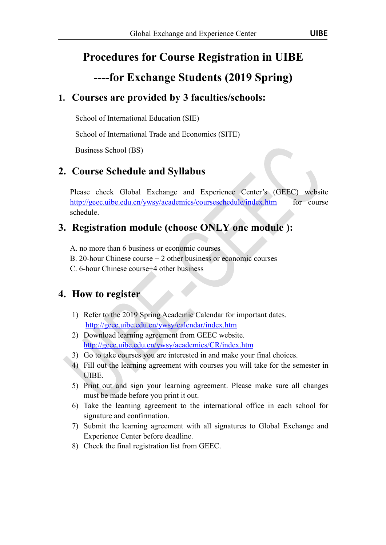# **Procedures for Course Registration in UIBE**

# **----for Exchange Students (2019 Spring)**

#### **1. Courses are provided by 3 faculties/schools:**

School of International Education (SIE)

School of International Trade and Economics (SITE)

Business School (BS)

### **2. Course Schedule and Syllabus**

Please check Global Exchange and Experience Center's (GEEC) website <http://geec.uibe.edu.cn/ywsy/academics/courseschedule/index.htm> for course schedule.

#### **3. Registration module (choose ONLY one module ):**

- A. no more than 6 business or economic courses
- B. 20-hour Chinese course  $+2$  other business or economic courses
- C. 6-hour Chinese course+4 other business

### **4. How to register**

- 1) Refer to the 2019 Spring Academic Calendar for important dates. <http://geec.uibe.edu.cn/ywsy/calendar/index.htm>
- 2) Download learning agreement from GEEC website. <http://geec.uibe.edu.cn/ywsy/academics/CR/index.htm>
- 3) Go to take courses you are interested in and make your final choices.
- 4) Fill out the learning agreement with courses you will take for the semester in UIBE.
- 5) Print out and sign your learning agreement. Please make sure all changes
- must be made before you print it out.<br>6) Take the learning agreement to the international office in each school for signature and confirmation.
- 7) Submit the learning agreement with all signatures to Global Exchange and Experience Center before deadline.
- 8) Check the final registration list from GEEC.